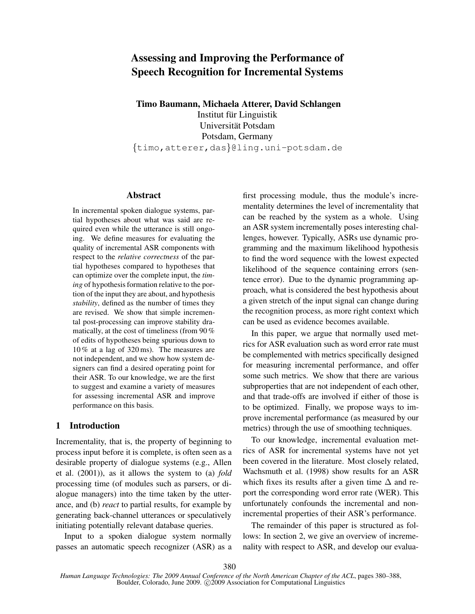# **Assessing and Improving the Performance of Speech Recognition for Incremental Systems**

**Timo Baumann, Michaela Atterer, David Schlangen**

Institut für Linguistik Universität Potsdam Potsdam, Germany {timo,atterer,das}@ling.uni-potsdam.de

#### **Abstract**

In incremental spoken dialogue systems, partial hypotheses about what was said are required even while the utterance is still ongoing. We define measures for evaluating the quality of incremental ASR components with respect to the *relative correctness* of the partial hypotheses compared to hypotheses that can optimize over the complete input, the *timing* of hypothesis formation relative to the portion of the input they are about, and hypothesis *stability*, defined as the number of times they are revised. We show that simple incremental post-processing can improve stability dramatically, at the cost of timeliness (from 90 % of edits of hypotheses being spurious down to 10 % at a lag of 320 ms). The measures are not independent, and we show how system designers can find a desired operating point for their ASR. To our knowledge, we are the first to suggest and examine a variety of measures for assessing incremental ASR and improve performance on this basis.

# **1 Introduction**

Incrementality, that is, the property of beginning to process input before it is complete, is often seen as a desirable property of dialogue systems (e.g., Allen et al. (2001)), as it allows the system to (a) *fold* processing time (of modules such as parsers, or dialogue managers) into the time taken by the utterance, and (b) *react* to partial results, for example by generating back-channel utterances or speculatively initiating potentially relevant database queries.

Input to a spoken dialogue system normally passes an automatic speech recognizer (ASR) as a first processing module, thus the module's incrementality determines the level of incrementality that can be reached by the system as a whole. Using an ASR system incrementally poses interesting challenges, however. Typically, ASRs use dynamic programming and the maximum likelihood hypothesis to find the word sequence with the lowest expected likelihood of the sequence containing errors (sentence error). Due to the dynamic programming approach, what is considered the best hypothesis about a given stretch of the input signal can change during the recognition process, as more right context which can be used as evidence becomes available.

In this paper, we argue that normally used metrics for ASR evaluation such as word error rate must be complemented with metrics specifically designed for measuring incremental performance, and offer some such metrics. We show that there are various subproperties that are not independent of each other, and that trade-offs are involved if either of those is to be optimized. Finally, we propose ways to improve incremental performance (as measured by our metrics) through the use of smoothing techniques.

To our knowledge, incremental evaluation metrics of ASR for incremental systems have not yet been covered in the literature. Most closely related, Wachsmuth et al. (1998) show results for an ASR which fixes its results after a given time  $\Delta$  and report the corresponding word error rate (WER). This unfortunately confounds the incremental and nonincremental properties of their ASR's performance.

The remainder of this paper is structured as follows: In section 2, we give an overview of incremenality with respect to ASR, and develop our evalua-

*Human Language Technologies: The 2009 Annual Conference of the North American Chapter of the ACL*, pages 380–388, Boulder, Colorado, June 2009. C<sub>2009</sub> Association for Computational Linguistics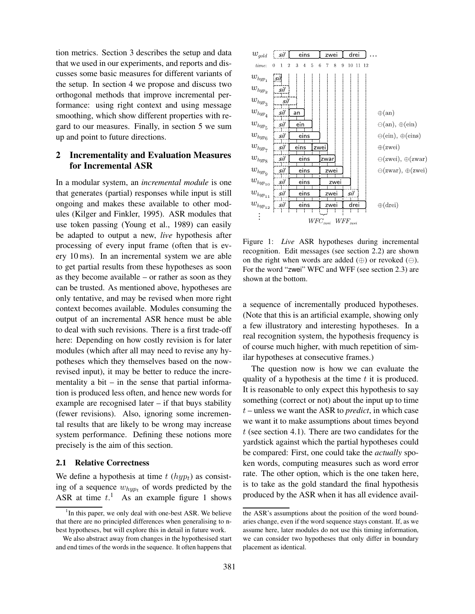tion metrics. Section 3 describes the setup and data that we used in our experiments, and reports and discusses some basic measures for different variants of the setup. In section 4 we propose and discuss two orthogonal methods that improve incremental performance: using right context and using message smoothing, which show different properties with regard to our measures. Finally, in section 5 we sum up and point to future directions.

# **2 Incrementality and Evaluation Measures for Incremental ASR**

In a modular system, an *incremental module* is one that generates (partial) responses while input is still ongoing and makes these available to other modules (Kilger and Finkler, 1995). ASR modules that use token passing (Young et al., 1989) can easily be adapted to output a new, *live* hypothesis after processing of every input frame (often that is every 10 ms). In an incremental system we are able to get partial results from these hypotheses as soon as they become available – or rather as soon as they can be trusted. As mentioned above, hypotheses are only tentative, and may be revised when more right context becomes available. Modules consuming the output of an incremental ASR hence must be able to deal with such revisions. There is a first trade-off here: Depending on how costly revision is for later modules (which after all may need to revise any hypotheses which they themselves based on the nowrevised input), it may be better to reduce the incrementality a bit  $-$  in the sense that partial information is produced less often, and hence new words for example are recognised later – if that buys stability (fewer revisions). Also, ignoring some incremental results that are likely to be wrong may increase system performance. Defining these notions more precisely is the aim of this section.

#### **2.1 Relative Correctness**

We define a hypothesis at time  $t (hyp<sub>t</sub>)$  as consisting of a sequence  $w_{hyp_t}$  of words predicted by the ASR at time  $t$ .<sup>1</sup> As an example figure 1 shows



Figure 1: *Live* ASR hypotheses during incremental recognition. Edit messages (see section 2.2) are shown on the right when words are added  $(\oplus)$  or revoked  $(\ominus)$ . For the word "zwei" WFC and WFF (see section 2.3) are shown at the bottom.

a sequence of incrementally produced hypotheses. (Note that this is an artificial example, showing only a few illustratory and interesting hypotheses. In a real recognition system, the hypothesis frequency is of course much higher, with much repetition of similar hypotheses at consecutive frames.)

The question now is how we can evaluate the quality of a hypothesis at the time  $t$  it is produced. It is reasonable to only expect this hypothesis to say something (correct or not) about the input up to time t – unless we want the ASR to *predict*, in which case we want it to make assumptions about times beyond  $t$  (see section 4.1). There are two candidates for the yardstick against which the partial hypotheses could be compared: First, one could take the *actually* spoken words, computing measures such as word error rate. The other option, which is the one taken here, is to take as the gold standard the final hypothesis produced by the ASR when it has all evidence avail-

<sup>&</sup>lt;sup>1</sup>In this paper, we only deal with one-best ASR. We believe that there are no principled differences when generalising to nbest hypotheses, but will explore this in detail in future work.

We also abstract away from changes in the hypothesised start and end times of the words in the sequence. It often happens that

the ASR's assumptions about the position of the word boundaries change, even if the word sequence stays constant. If, as we assume here, later modules do not use this timing information, we can consider two hypotheses that only differ in boundary placement as identical.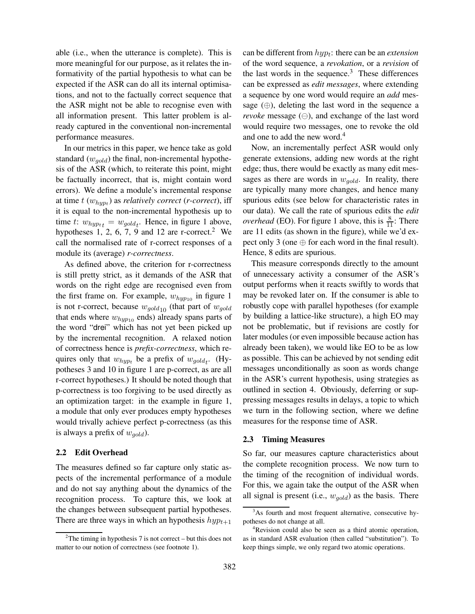able (i.e., when the utterance is complete). This is more meaningful for our purpose, as it relates the informativity of the partial hypothesis to what can be expected if the ASR can do all its internal optimisations, and not to the factually correct sequence that the ASR might not be able to recognise even with all information present. This latter problem is already captured in the conventional non-incremental performance measures.

In our metrics in this paper, we hence take as gold standard  $(w_{\text{gold}})$  the final, non-incremental hypothesis of the ASR (which, to reiterate this point, might be factually incorrect, that is, might contain word errors). We define a module's incremental response at time  $t$   $(w_{hyp_t})$  as *relatively correct* (*r-correct*), iff it is equal to the non-incremental hypothesis up to time t:  $w_{hyp_{tt}} = w_{gold_t}$ . Hence, in figure 1 above, hypotheses 1, 2, 6, 7, 9 and 12 are r-correct.<sup>2</sup> We call the normalised rate of r-correct responses of a module its (average) *r-correctness*.

As defined above, the criterion for r-correctness is still pretty strict, as it demands of the ASR that words on the right edge are recognised even from the first frame on. For example,  $w_{hyp10}$  in figure 1 is not r-correct, because  $w_{gold10}$  (that part of  $w_{gold}$ that ends where  $w_{hyp10}$  ends) already spans parts of the word "drei" which has not yet been picked up by the incremental recognition. A relaxed notion of correctness hence is *prefix-correctness*, which requires only that  $w_{hyp_t}$  be a prefix of  $w_{gold_t}$ . (Hypotheses 3 and 10 in figure 1 are p-correct, as are all r-correct hypotheses.) It should be noted though that p-correctness is too forgiving to be used directly as an optimization target: in the example in figure 1, a module that only ever produces empty hypotheses would trivally achieve perfect p-correctness (as this is always a prefix of  $w_{aold}$ ).

#### **2.2 Edit Overhead**

The measures defined so far capture only static aspects of the incremental performance of a module and do not say anything about the dynamics of the recognition process. To capture this, we look at the changes between subsequent partial hypotheses. There are three ways in which an hypothesis  $hyp_{t+1}$ 

can be different from hyp<sup>t</sup> : there can be an *extension* of the word sequence, a *revokation*, or a *revision* of the last words in the sequence. $3$  These differences can be expressed as *edit messages*, where extending a sequence by one word would require an *add* message  $(\oplus)$ , deleting the last word in the sequence a *revoke* message (⊖), and exchange of the last word would require two messages, one to revoke the old and one to add the new word.<sup>4</sup>

Now, an incrementally perfect ASR would only generate extensions, adding new words at the right edge; thus, there would be exactly as many edit messages as there are words in  $w_{gold}$ . In reality, there are typically many more changes, and hence many spurious edits (see below for characteristic rates in our data). We call the rate of spurious edits the *edit overhead* (EO). For figure 1 above, this is  $\frac{8}{11}$ : There are 11 edits (as shown in the figure), while we'd expect only 3 (one  $\oplus$  for each word in the final result). Hence, 8 edits are spurious.

This measure corresponds directly to the amount of unnecessary activity a consumer of the ASR's output performs when it reacts swiftly to words that may be revoked later on. If the consumer is able to robustly cope with parallel hypotheses (for example by building a lattice-like structure), a high EO may not be problematic, but if revisions are costly for later modules (or even impossible because action has already been taken), we would like EO to be as low as possible. This can be achieved by not sending edit messages unconditionally as soon as words change in the ASR's current hypothesis, using strategies as outlined in section 4. Obviously, deferring or suppressing messages results in delays, a topic to which we turn in the following section, where we define measures for the response time of ASR.

#### **2.3 Timing Measures**

So far, our measures capture characteristics about the complete recognition process. We now turn to the timing of the recognition of individual words. For this, we again take the output of the ASR when all signal is present (i.e.,  $w_{gold}$ ) as the basis. There

 $2^2$ The timing in hypothesis 7 is not correct – but this does not matter to our notion of correctness (see footnote 1).

<sup>&</sup>lt;sup>3</sup>As fourth and most frequent alternative, consecutive hypotheses do not change at all.

<sup>4</sup>Revision could also be seen as a third atomic operation, as in standard ASR evaluation (then called "substitution"). To keep things simple, we only regard two atomic operations.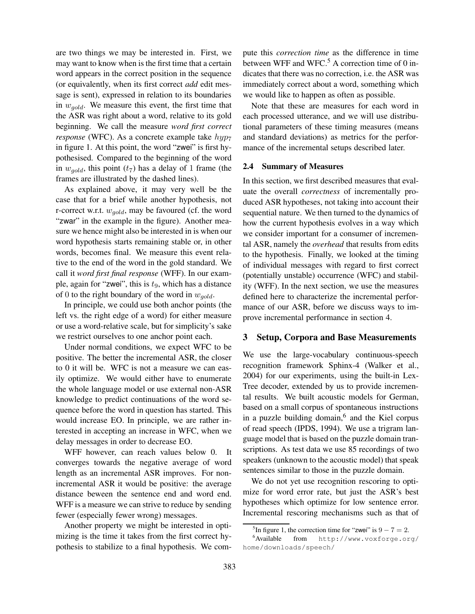are two things we may be interested in. First, we may want to know when is the first time that a certain word appears in the correct position in the sequence (or equivalently, when its first correct *add* edit message is sent), expressed in relation to its boundaries in  $w_{gold}$ . We measure this event, the first time that the ASR was right about a word, relative to its gold beginning. We call the measure *word first correct response* (WFC). As a concrete example take  $hyp<sub>7</sub>$ in figure 1. At this point, the word "zwei" is first hypothesised. Compared to the beginning of the word in  $w_{gold}$ , this point  $(t_7)$  has a delay of 1 frame (the frames are illustrated by the dashed lines).

As explained above, it may very well be the case that for a brief while another hypothesis, not r-correct w.r.t.  $w_{gold}$ , may be favoured (cf. the word "zwar" in the example in the figure). Another measure we hence might also be interested in is when our word hypothesis starts remaining stable or, in other words, becomes final. We measure this event relative to the end of the word in the gold standard. We call it *word first final response* (WFF). In our example, again for "zwei", this is  $t_9$ , which has a distance of 0 to the right boundary of the word in  $w_{gold}$ .

In principle, we could use both anchor points (the left vs. the right edge of a word) for either measure or use a word-relative scale, but for simplicity's sake we restrict ourselves to one anchor point each.

Under normal conditions, we expect WFC to be positive. The better the incremental ASR, the closer to 0 it will be. WFC is not a measure we can easily optimize. We would either have to enumerate the whole language model or use external non-ASR knowledge to predict continuations of the word sequence before the word in question has started. This would increase EO. In principle, we are rather interested in accepting an increase in WFC, when we delay messages in order to decrease EO.

WFF however, can reach values below 0. It converges towards the negative average of word length as an incremental ASR improves. For nonincremental ASR it would be positive: the average distance beween the sentence end and word end. WFF is a measure we can strive to reduce by sending fewer (especially fewer wrong) messages.

Another property we might be interested in optimizing is the time it takes from the first correct hypothesis to stabilize to a final hypothesis. We compute this *correction time* as the difference in time between WFF and WFC. $5$  A correction time of 0 indicates that there was no correction, i.e. the ASR was immediately correct about a word, something which we would like to happen as often as possible.

Note that these are measures for each word in each processed utterance, and we will use distributional parameters of these timing measures (means and standard deviations) as metrics for the performance of the incremental setups described later.

#### **2.4 Summary of Measures**

In this section, we first described measures that evaluate the overall *correctness* of incrementally produced ASR hypotheses, not taking into account their sequential nature. We then turned to the dynamics of how the current hypothesis evolves in a way which we consider important for a consumer of incremental ASR, namely the *overhead* that results from edits to the hypothesis. Finally, we looked at the timing of individual messages with regard to first correct (potentially unstable) occurrence (WFC) and stability (WFF). In the next section, we use the measures defined here to characterize the incremental performance of our ASR, before we discuss ways to improve incremental performance in section 4.

#### **3 Setup, Corpora and Base Measurements**

We use the large-vocabulary continuous-speech recognition framework Sphinx-4 (Walker et al., 2004) for our experiments, using the built-in Lex-Tree decoder, extended by us to provide incremental results. We built acoustic models for German, based on a small corpus of spontaneous instructions in a puzzle building domain,<sup>6</sup> and the Kiel corpus of read speech (IPDS, 1994). We use a trigram language model that is based on the puzzle domain transcriptions. As test data we use 85 recordings of two speakers (unknown to the acoustic model) that speak sentences similar to those in the puzzle domain.

We do not yet use recognition rescoring to optimize for word error rate, but just the ASR's best hypotheses which optimize for low sentence error. Incremental rescoring mechanisms such as that of

<sup>&</sup>lt;sup>5</sup>In figure 1, the correction time for "zwei" is  $9 - 7 = 2$ .

<sup>6</sup>Available from http://www.voxforge.org/ home/downloads/speech/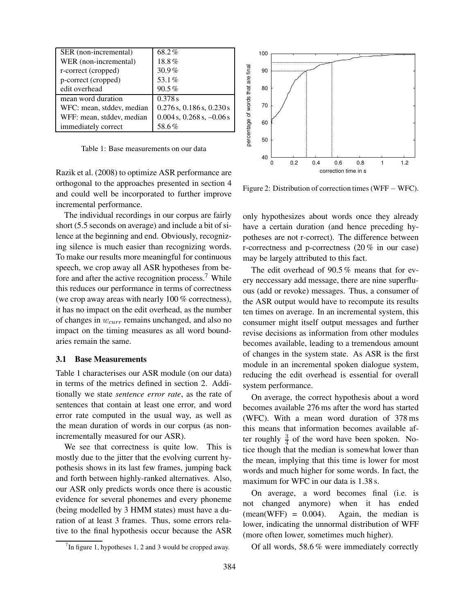| SER (non-incremental)     | 68.2%                           |
|---------------------------|---------------------------------|
| WER (non-incremental)     | 18.8%                           |
| r-correct (cropped)       | $30.9\%$                        |
| p-correct (cropped)       | 53.1%                           |
| edit overhead             | 90.5%                           |
| mean word duration        | 0.378 s                         |
| WFC: mean, stddev, median | $0.276$ s, $0.186$ s, $0.230$ s |
| WFF: mean, stddev, median | $0.004$ s, $0.268$ s, $-0.06$ s |
| immediately correct       | 58.6%                           |

Table 1: Base measurements on our data

Razik et al. (2008) to optimize ASR performance are orthogonal to the approaches presented in section 4 and could well be incorporated to further improve incremental performance.

The individual recordings in our corpus are fairly short (5.5 seconds on average) and include a bit of silence at the beginning and end. Obviously, recognizing silence is much easier than recognizing words. To make our results more meaningful for continuous speech, we crop away all ASR hypotheses from before and after the active recognition process.<sup>7</sup> While this reduces our performance in terms of correctness (we crop away areas with nearly 100 % correctness), it has no impact on the edit overhead, as the number of changes in  $w_{curr}$  remains unchanged, and also no impact on the timing measures as all word boundaries remain the same.

#### **3.1 Base Measurements**

Table 1 characterises our ASR module (on our data) in terms of the metrics defined in section 2. Additionally we state *sentence error rate*, as the rate of sentences that contain at least one error, and word error rate computed in the usual way, as well as the mean duration of words in our corpus (as nonincrementally measured for our ASR).

We see that correctness is quite low. This is mostly due to the jitter that the evolving current hypothesis shows in its last few frames, jumping back and forth between highly-ranked alternatives. Also, our ASR only predicts words once there is acoustic evidence for several phonemes and every phoneme (being modelled by 3 HMM states) must have a duration of at least 3 frames. Thus, some errors relative to the final hypothesis occur because the ASR



Figure 2: Distribution of correction times (WFF − WFC).

only hypothesizes about words once they already have a certain duration (and hence preceding hypotheses are not r-correct). The difference between r-correctness and p-correctness (20 % in our case) may be largely attributed to this fact.

The edit overhead of 90.5 % means that for every neccessary add message, there are nine superfluous (add or revoke) messages. Thus, a consumer of the ASR output would have to recompute its results ten times on average. In an incremental system, this consumer might itself output messages and further revise decisions as information from other modules becomes available, leading to a tremendous amount of changes in the system state. As ASR is the first module in an incremental spoken dialogue system, reducing the edit overhead is essential for overall system performance.

On average, the correct hypothesis about a word becomes available 276 ms after the word has started (WFC). With a mean word duration of 378 ms this means that information becomes available after roughly  $\frac{3}{4}$  of the word have been spoken. Notice though that the median is somewhat lower than the mean, implying that this time is lower for most words and much higher for some words. In fact, the maximum for WFC in our data is 1.38 s.

On average, a word becomes final (i.e. is not changed anymore) when it has ended  $(mean(WFF) = 0.004)$ . Again, the median is lower, indicating the unnormal distribution of WFF (more often lower, sometimes much higher).

Of all words, 58.6 % were immediately correctly

 $7$ In figure 1, hypotheses 1, 2 and 3 would be cropped away.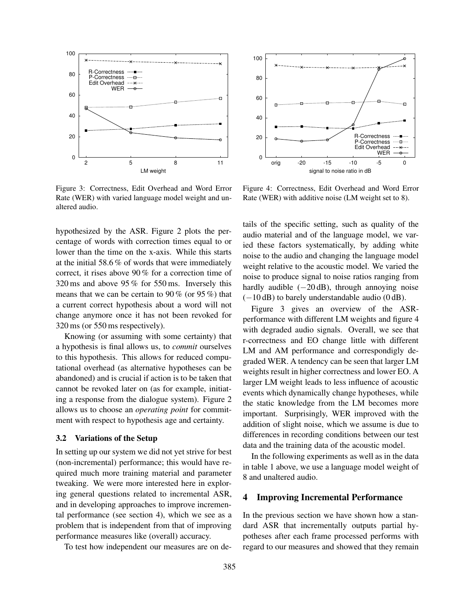

Figure 3: Correctness, Edit Overhead and Word Error Rate (WER) with varied language model weight and unaltered audio.

hypothesized by the ASR. Figure 2 plots the percentage of words with correction times equal to or lower than the time on the x-axis. While this starts at the initial 58.6 % of words that were immediately correct, it rises above 90 % for a correction time of 320 ms and above 95 % for 550 ms. Inversely this means that we can be certain to 90 % (or 95 %) that a current correct hypothesis about a word will not change anymore once it has not been revoked for 320 ms (or 550 ms respectively).

Knowing (or assuming with some certainty) that a hypothesis is final allows us, to *commit* ourselves to this hypothesis. This allows for reduced computational overhead (as alternative hypotheses can be abandoned) and is crucial if action is to be taken that cannot be revoked later on (as for example, initiating a response from the dialogue system). Figure 2 allows us to choose an *operating point* for commitment with respect to hypothesis age and certainty.

#### **3.2 Variations of the Setup**

In setting up our system we did not yet strive for best (non-incremental) performance; this would have required much more training material and parameter tweaking. We were more interested here in exploring general questions related to incremental ASR, and in developing approaches to improve incremental performance (see section 4), which we see as a problem that is independent from that of improving performance measures like (overall) accuracy.

To test how independent our measures are on de-



Figure 4: Correctness, Edit Overhead and Word Error Rate (WER) with additive noise (LM weight set to 8).

tails of the specific setting, such as quality of the audio material and of the language model, we varied these factors systematically, by adding white noise to the audio and changing the language model weight relative to the acoustic model. We varied the noise to produce signal to noise ratios ranging from hardly audible  $(-20 \text{ dB})$ , through annoying noise (−10 dB) to barely understandable audio (0 dB).

Figure 3 gives an overview of the ASRperformance with different LM weights and figure 4 with degraded audio signals. Overall, we see that r-correctness and EO change little with different LM and AM performance and correspondigly degraded WER. A tendency can be seen that larger LM weights result in higher correctness and lower EO. A larger LM weight leads to less influence of acoustic events which dynamically change hypotheses, while the static knowledge from the LM becomes more important. Surprisingly, WER improved with the addition of slight noise, which we assume is due to differences in recording conditions between our test data and the training data of the acoustic model.

In the following experiments as well as in the data in table 1 above, we use a language model weight of 8 and unaltered audio.

#### **4 Improving Incremental Performance**

In the previous section we have shown how a standard ASR that incrementally outputs partial hypotheses after each frame processed performs with regard to our measures and showed that they remain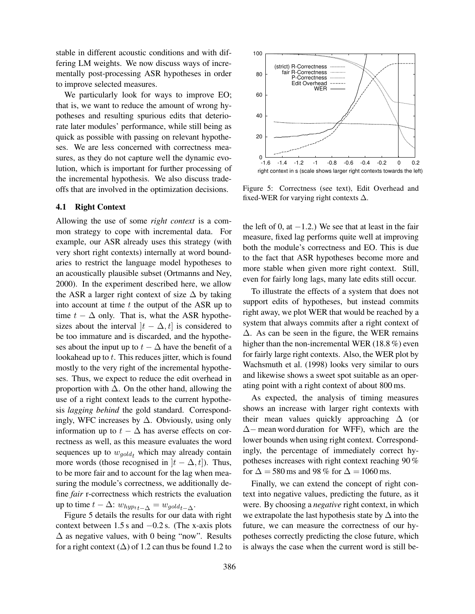stable in different acoustic conditions and with differing LM weights. We now discuss ways of incrementally post-processing ASR hypotheses in order to improve selected measures.

We particularly look for ways to improve EO; that is, we want to reduce the amount of wrong hypotheses and resulting spurious edits that deteriorate later modules' performance, while still being as quick as possible with passing on relevant hypotheses. We are less concerned with correctness measures, as they do not capture well the dynamic evolution, which is important for further processing of the incremental hypothesis. We also discuss tradeoffs that are involved in the optimization decisions.

### **4.1 Right Context**

Allowing the use of some *right context* is a common strategy to cope with incremental data. For example, our ASR already uses this strategy (with very short right contexts) internally at word boundaries to restrict the language model hypotheses to an acoustically plausible subset (Ortmanns and Ney, 2000). In the experiment described here, we allow the ASR a larger right context of size  $\Delta$  by taking into account at time  $t$  the output of the ASR up to time  $t - \Delta$  only. That is, what the ASR hypothesizes about the interval  $|t - \Delta, t|$  is considered to be too immature and is discarded, and the hypotheses about the input up to  $t - \Delta$  have the benefit of a lookahead up to  $t$ . This reduces jitter, which is found mostly to the very right of the incremental hypotheses. Thus, we expect to reduce the edit overhead in proportion with  $\Delta$ . On the other hand, allowing the use of a right context leads to the current hypothesis *lagging behind* the gold standard. Correspondingly, WFC increases by  $\Delta$ . Obviously, using only information up to  $t - \Delta$  has averse effects on correctness as well, as this measure evaluates the word sequences up to  $w_{gold_t}$  which may already contain more words (those recognised in  $|t - \Delta, t|$ ). Thus, to be more fair and to account for the lag when measuring the module's correctness, we additionally define *fair* r-correctness which restricts the evaluation up to time  $t - \Delta$ :  $w_{hyp_t} = w_{gold_t - \Delta}$ .

Figure 5 details the results for our data with right context between 1.5 s and  $-0.2$  s. (The x-axis plots  $\Delta$  as negative values, with 0 being "now". Results for a right context  $(∆)$  of 1.2 can thus be found 1.2 to



Figure 5: Correctness (see text), Edit Overhead and fixed-WER for varying right contexts  $\Delta$ .

the left of 0, at  $-1.2$ .) We see that at least in the fair measure, fixed lag performs quite well at improving both the module's correctness and EO. This is due to the fact that ASR hypotheses become more and more stable when given more right context. Still, even for fairly long lags, many late edits still occur.

To illustrate the effects of a system that does not support edits of hypotheses, but instead commits right away, we plot WER that would be reached by a system that always commits after a right context of  $\Delta$ . As can be seen in the figure, the WER remains higher than the non-incremental WER (18.8 %) even for fairly large right contexts. Also, the WER plot by Wachsmuth et al. (1998) looks very similar to ours and likewise shows a sweet spot suitable as an operating point with a right context of about 800 ms.

As expected, the analysis of timing measures shows an increase with larger right contexts with their mean values quickly approaching  $\Delta$  (or ∆− mean word duration for WFF), which are the lower bounds when using right context. Correspondingly, the percentage of immediately correct hypotheses increases with right context reaching 90 % for  $\Delta$  = 580 ms and 98 % for  $\Delta$  = 1060 ms.

Finally, we can extend the concept of right context into negative values, predicting the future, as it were. By choosing a *negative* right context, in which we extrapolate the last hypothesis state by ∆ into the future, we can measure the correctness of our hypotheses correctly predicting the close future, which is always the case when the current word is still be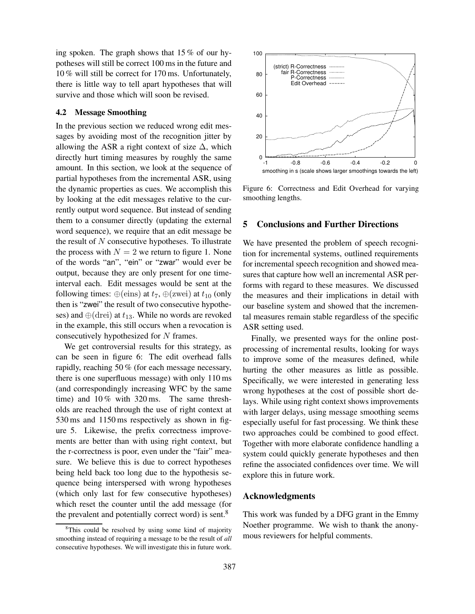ing spoken. The graph shows that 15 % of our hypotheses will still be correct 100 ms in the future and 10 % will still be correct for 170 ms. Unfortunately, there is little way to tell apart hypotheses that will survive and those which will soon be revised.

#### **4.2 Message Smoothing**

In the previous section we reduced wrong edit messages by avoiding most of the recognition jitter by allowing the ASR a right context of size  $\Delta$ , which directly hurt timing measures by roughly the same amount. In this section, we look at the sequence of partial hypotheses from the incremental ASR, using the dynamic properties as cues. We accomplish this by looking at the edit messages relative to the currently output word sequence. But instead of sending them to a consumer directly (updating the external word sequence), we require that an edit message be the result of  $N$  consecutive hypotheses. To illustrate the process with  $N = 2$  we return to figure 1. None of the words "an", "ein" or "zwar" would ever be output, because they are only present for one timeinterval each. Edit messages would be sent at the following times:  $\oplus$ (eins) at  $t_7$ ,  $\oplus$ (zwei) at  $t_{10}$  (only then is "zwei" the result of two consecutive hypotheses) and  $\oplus$ (drei) at  $t_{13}$ . While no words are revoked in the example, this still occurs when a revocation is consecutively hypothesized for N frames.

We get controversial results for this strategy, as can be seen in figure 6: The edit overhead falls rapidly, reaching 50 % (for each message necessary, there is one superfluous message) with only 110 ms (and correspondingly increasing WFC by the same time) and 10 % with 320 ms. The same thresholds are reached through the use of right context at 530 ms and 1150 ms respectively as shown in figure 5. Likewise, the prefix correctness improvements are better than with using right context, but the r-correctness is poor, even under the "fair" measure. We believe this is due to correct hypotheses being held back too long due to the hypothesis sequence being interspersed with wrong hypotheses (which only last for few consecutive hypotheses) which reset the counter until the add message (for the prevalent and potentially correct word) is sent.<sup>8</sup>



Figure 6: Correctness and Edit Overhead for varying smoothing lengths.

#### **5 Conclusions and Further Directions**

We have presented the problem of speech recognition for incremental systems, outlined requirements for incremental speech recognition and showed measures that capture how well an incremental ASR performs with regard to these measures. We discussed the measures and their implications in detail with our baseline system and showed that the incremental measures remain stable regardless of the specific ASR setting used.

Finally, we presented ways for the online postprocessing of incremental results, looking for ways to improve some of the measures defined, while hurting the other measures as little as possible. Specifically, we were interested in generating less wrong hypotheses at the cost of possible short delays. While using right context shows improvements with larger delays, using message smoothing seems especially useful for fast processing. We think these two approaches could be combined to good effect. Together with more elaborate confidence handling a system could quickly generate hypotheses and then refine the associated confidences over time. We will explore this in future work.

#### **Acknowledgments**

This work was funded by a DFG grant in the Emmy Noether programme. We wish to thank the anonymous reviewers for helpful comments.

<sup>&</sup>lt;sup>8</sup>This could be resolved by using some kind of majority smoothing instead of requiring a message to be the result of *all* consecutive hypotheses. We will investigate this in future work.